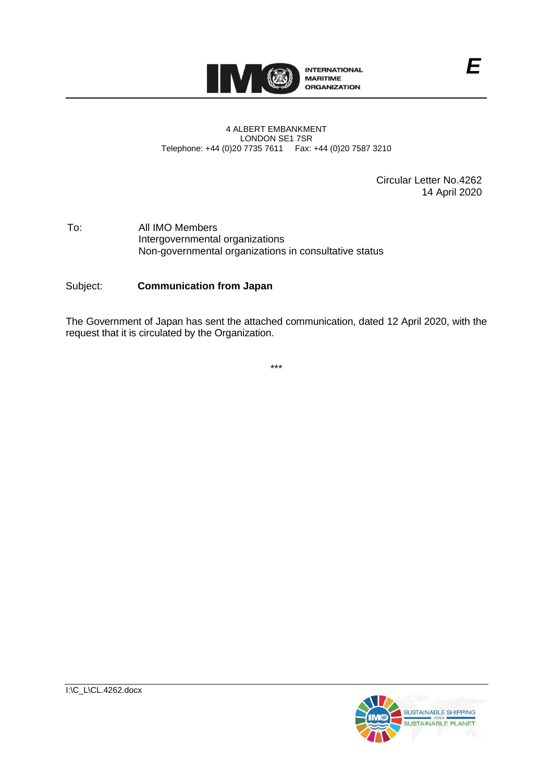

#### 4 ALBERT EMBANKMENT LONDON SE1 7SR Telephone: +44 (0)20 7735 7611 Fax: +44 (0)20 7587 3210

Circular Letter No.4262 14 April 2020

#### To: All IMO Members Intergovernmental organizations Non-governmental organizations in consultative status

## Subject: **Communication from Japan**

The Government of Japan has sent the attached communication, dated 12 April 2020, with the request that it is circulated by the Organization.

\*\*\*

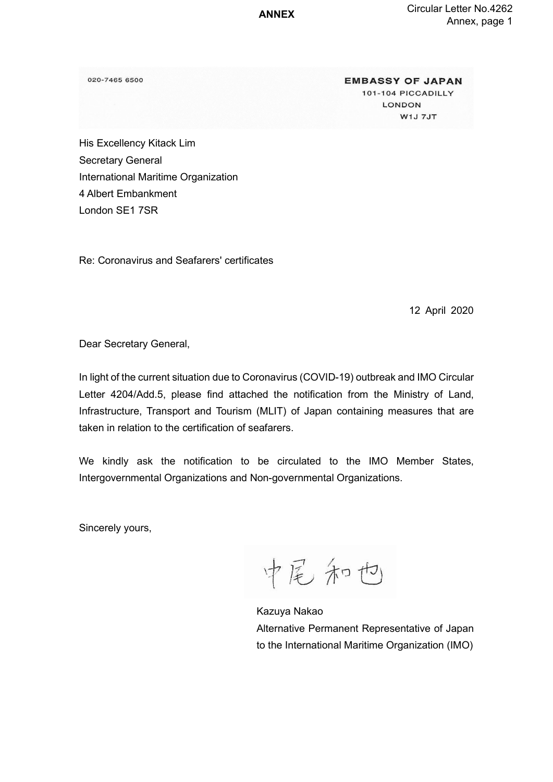**ANNEX**

020-7465 6500

**EMBASSY OF JAPAN** 101-104 PICCADILLY LONDON W1J 7JT

His Excellency Kitack Lim Secretary General International Maritime Organization 4 Albert Embankment London SE1 7SR

Re: Coronavirus and Seafarers' certificates

12 April 2020

Dear Secretary General,

In light of the current situation due to Coronavirus (COVID-19) outbreak and IMO Circular Letter 4204/Add.5, please find attached the notification from the Ministry of Land, Infrastructure, Transport and Tourism (MLIT) of Japan containing measures that are taken in relation to the certification of seafarers.

We kindly ask the notification to be circulated to the IMO Member States, Intergovernmental Organizations and Non-governmental Organizations.

Sincerely yours,

中尾和也

Kazuya Nakao Alternative Permanent Representative of Japan to the International Maritime Organization (IMO)